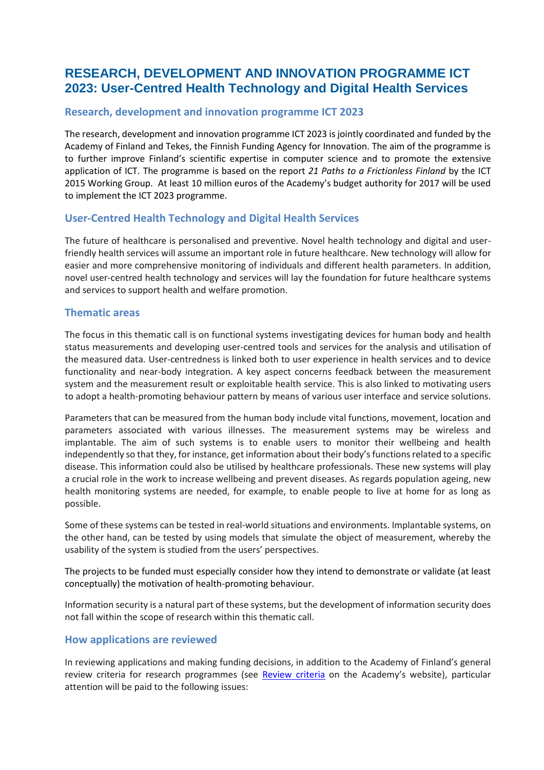# **RESEARCH, DEVELOPMENT AND INNOVATION PROGRAMME ICT 2023: User-Centred Health Technology and Digital Health Services**

## **Research, development and innovation programme ICT 2023**

The research, development and innovation programme ICT 2023 is jointly coordinated and funded by the Academy of Finland and Tekes, the Finnish Funding Agency for Innovation. The aim of the programme is to further improve Finland's scientific expertise in computer science and to promote the extensive application of ICT. The programme is based on the report *21 Paths to a Frictionless Finland* by the ICT 2015 Working Group. At least 10 million euros of the Academy's budget authority for 2017 will be used to implement the ICT 2023 programme.

## **User-Centred Health Technology and Digital Health Services**

The future of healthcare is personalised and preventive. Novel health technology and digital and userfriendly health services will assume an important role in future healthcare. New technology will allow for easier and more comprehensive monitoring of individuals and different health parameters. In addition, novel user-centred health technology and services will lay the foundation for future healthcare systems and services to support health and welfare promotion.

#### **Thematic areas**

The focus in this thematic call is on functional systems investigating devices for human body and health status measurements and developing user-centred tools and services for the analysis and utilisation of the measured data. User-centredness is linked both to user experience in health services and to device functionality and near-body integration. A key aspect concerns feedback between the measurement system and the measurement result or exploitable health service. This is also linked to motivating users to adopt a health-promoting behaviour pattern by means of various user interface and service solutions.

Parameters that can be measured from the human body include vital functions, movement, location and parameters associated with various illnesses. The measurement systems may be wireless and implantable. The aim of such systems is to enable users to monitor their wellbeing and health independently so that they, for instance, get information about their body's functions related to a specific disease. This information could also be utilised by healthcare professionals. These new systems will play a crucial role in the work to increase wellbeing and prevent diseases. As regards population ageing, new health monitoring systems are needed, for example, to enable people to live at home for as long as possible.

Some of these systems can be tested in real-world situations and environments. Implantable systems, on the other hand, can be tested by using models that simulate the object of measurement, whereby the usability of the system is studied from the users' perspectives.

The projects to be funded must especially consider how they intend to demonstrate or validate (at least conceptually) the motivation of health-promoting behaviour.

Information security is a natural part of these systems, but the development of information security does not fall within the scope of research within this thematic call.

## **How applications are reviewed**

In reviewing applications and making funding decisions, in addition to the Academy of Finland's general review criteria for research programmes (see [Review criteria](http://www.aka.fi/en/review-and-funding-decisions/how-applications-are-reviewed/review-criteria/) on the Academy's website), particular attention will be paid to the following issues: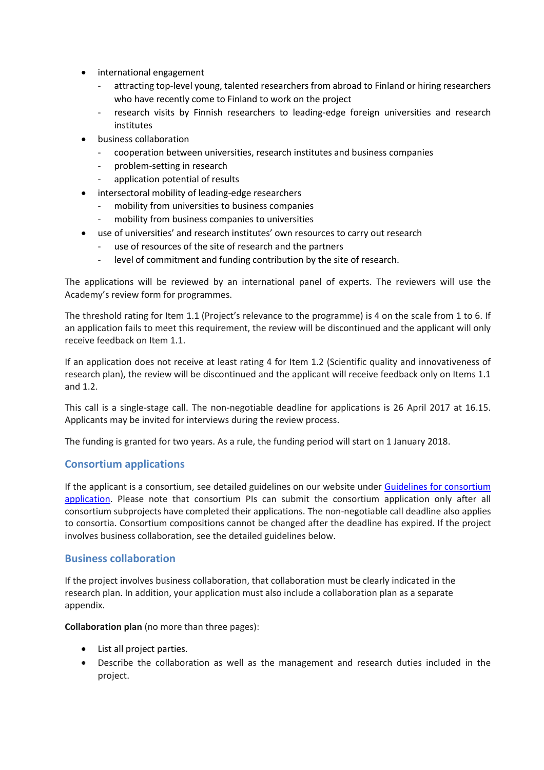- international engagement
	- attracting top-level young, talented researchers from abroad to Finland or hiring researchers who have recently come to Finland to work on the project
	- research visits by Finnish researchers to leading-edge foreign universities and research institutes
- business collaboration
	- cooperation between universities, research institutes and business companies
	- problem-setting in research
	- application potential of results
- intersectoral mobility of leading-edge researchers
	- mobility from universities to business companies
	- mobility from business companies to universities
- use of universities' and research institutes' own resources to carry out research
	- use of resources of the site of research and the partners
	- level of commitment and funding contribution by the site of research.

The applications will be reviewed by an international panel of experts. The reviewers will use the Academy's review form for programmes.

The threshold rating for Item 1.1 (Project's relevance to the programme) is 4 on the scale from 1 to 6. If an application fails to meet this requirement, the review will be discontinued and the applicant will only receive feedback on Item 1.1.

If an application does not receive at least rating 4 for Item 1.2 (Scientific quality and innovativeness of research plan), the review will be discontinued and the applicant will receive feedback only on Items 1.1 and 1.2.

This call is a single-stage call. The non-negotiable deadline for applications is 26 April 2017 at 16.15. Applicants may be invited for interviews during the review process.

The funding is granted for two years. As a rule, the funding period will start on 1 January 2018.

#### **Consortium applications**

If the applicant is a consortium, see detailed guidelines on our website under [Guidelines for consortium](http://www.aka.fi/en/funding/how-to-apply/application-guidelines/guidelines-for-consortium-application/)  [application.](http://www.aka.fi/en/funding/how-to-apply/application-guidelines/guidelines-for-consortium-application/) Please note that consortium PIs can submit the consortium application only after all consortium subprojects have completed their applications. The non-negotiable call deadline also applies to consortia. Consortium compositions cannot be changed after the deadline has expired. If the project involves business collaboration, see the detailed guidelines below.

#### **Business collaboration**

If the project involves business collaboration, that collaboration must be clearly indicated in the research plan. In addition, your application must also include a collaboration plan as a separate appendix.

**Collaboration plan** (no more than three pages):

- List all project parties.
- Describe the collaboration as well as the management and research duties included in the project.